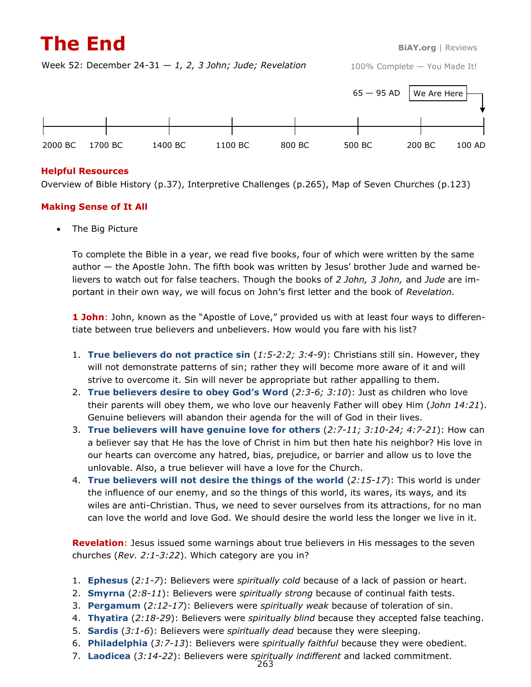## **The End BiAY.org** | Reviews

Week 52: December 24-31 — *1, 2, 3 John; Jude; Revelation*



#### **Helpful Resources**

Overview of Bible History (p.37), Interpretive Challenges (p.265), Map of Seven Churches (p.123)

### **Making Sense of It All**

• The Big Picture

To complete the Bible in a year, we read five books, four of which were written by the same author — the Apostle John. The fifth book was written by Jesus' brother Jude and warned believers to watch out for false teachers. Though the books of *2 John, 3 John,* and *Jude* are important in their own way, we will focus on John's first letter and the book of *Revelation.*

**1 John**: John, known as the "Apostle of Love," provided us with at least four ways to differentiate between true believers and unbelievers. How would you fare with his list?

- 1. **True believers do not practice sin** (*1:5-2:2; 3:4-9*): Christians still sin. However, they will not demonstrate patterns of sin; rather they will become more aware of it and will strive to overcome it. Sin will never be appropriate but rather appalling to them.
- 2. **True believers desire to obey God's Word** (*2:3-6; 3:10*): Just as children who love their parents will obey them, we who love our heavenly Father will obey Him (*John 14:21*). Genuine believers will abandon their agenda for the will of God in their lives.
- 3. **True believers will have genuine love for others** (*2:7-11; 3:10-24; 4:7-21*): How can a believer say that He has the love of Christ in him but then hate his neighbor? His love in our hearts can overcome any hatred, bias, prejudice, or barrier and allow us to love the unlovable. Also, a true believer will have a love for the Church.
- 4. **True believers will not desire the things of the world** (*2:15-17*): This world is under the influence of our enemy, and so the things of this world, its wares, its ways, and its wiles are anti-Christian. Thus, we need to sever ourselves from its attractions, for no man can love the world and love God. We should desire the world less the longer we live in it.

**Revelation**: Jesus issued some warnings about true believers in His messages to the seven churches (*Rev. 2:1-3:22*). Which category are you in?

- 1. **Ephesus** (*2:1-7*): Believers were *spiritually cold* because of a lack of passion or heart.
- 2. **Smyrna** (*2:8-11*): Believers were *spiritually strong* because of continual faith tests.
- 3. **Pergamum** (*2:12-17*): Believers were *spiritually weak* because of toleration of sin.
- 4. **Thyatira** (*2:18-29*): Believers were *spiritually blind* because they accepted false teaching.
- 5. **Sardis** (*3:1-6*): Believers were *spiritually dead* because they were sleeping.
- 6. **Philadelphia** (*3:7-13*): Believers were *spiritually faithful* because they were obedient.
- 7. **Laodicea** (*3:14-22*): Believers were *spiritually indifferent* and lacked commitment.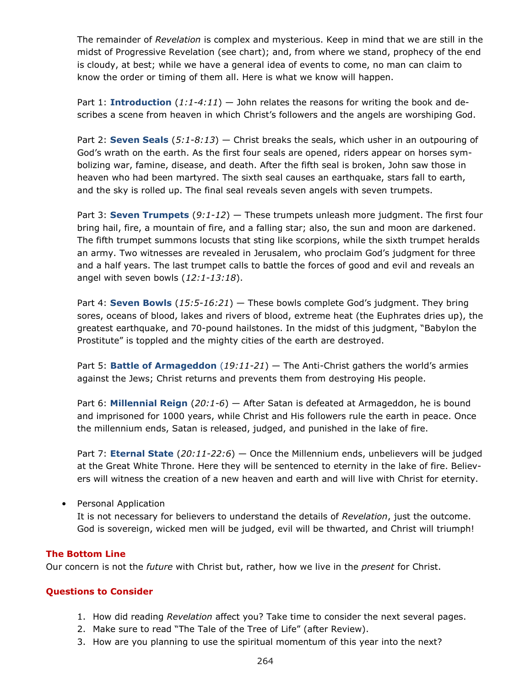The remainder of *Revelation* is complex and mysterious. Keep in mind that we are still in the midst of Progressive Revelation (see chart); and, from where we stand, prophecy of the end is cloudy, at best; while we have a general idea of events to come, no man can claim to know the order or timing of them all. Here is what we know will happen.

Part 1: **Introduction** (*1:1-4:11*) — John relates the reasons for writing the book and describes a scene from heaven in which Christ's followers and the angels are worshiping God.

Part 2: **Seven Seals** (*5:1-8:13*) — Christ breaks the seals, which usher in an outpouring of God's wrath on the earth. As the first four seals are opened, riders appear on horses symbolizing war, famine, disease, and death. After the fifth seal is broken, John saw those in heaven who had been martyred. The sixth seal causes an earthquake, stars fall to earth, and the sky is rolled up. The final seal reveals seven angels with seven trumpets.

Part 3: **Seven Trumpets** (*9:1-12*) — These trumpets unleash more judgment. The first four bring hail, fire, a mountain of fire, and a falling star; also, the sun and moon are darkened. The fifth trumpet summons locusts that sting like scorpions, while the sixth trumpet heralds an army. Two witnesses are revealed in Jerusalem, who proclaim God's judgment for three and a half years. The last trumpet calls to battle the forces of good and evil and reveals an angel with seven bowls (*12:1-13:18*).

Part 4: **Seven Bowls** (*15:5-16:21*) — These bowls complete God's judgment. They bring sores, oceans of blood, lakes and rivers of blood, extreme heat (the Euphrates dries up), the greatest earthquake, and 70-pound hailstones. In the midst of this judgment, "Babylon the Prostitute" is toppled and the mighty cities of the earth are destroyed.

Part 5: **Battle of Armageddon** (*19:11-21*) — The Anti-Christ gathers the world's armies against the Jews; Christ returns and prevents them from destroying His people.

Part 6: **Millennial Reign** (*20:1-6*) — After Satan is defeated at Armageddon, he is bound and imprisoned for 1000 years, while Christ and His followers rule the earth in peace. Once the millennium ends, Satan is released, judged, and punished in the lake of fire.

Part 7: **Eternal State** (*20:11-22:6*) — Once the Millennium ends, unbelievers will be judged at the Great White Throne. Here they will be sentenced to eternity in the lake of fire. Believers will witness the creation of a new heaven and earth and will live with Christ for eternity.

• Personal Application

It is not necessary for believers to understand the details of *Revelation*, just the outcome. God is sovereign, wicked men will be judged, evil will be thwarted, and Christ will triumph!

### **The Bottom Line**

Our concern is not the *future* with Christ but, rather, how we live in the *present* for Christ.

### **Questions to Consider**

- 1. How did reading *Revelation* affect you? Take time to consider the next several pages.
- 2. Make sure to read "The Tale of the Tree of Life" (after Review).
- 3. How are you planning to use the spiritual momentum of this year into the next?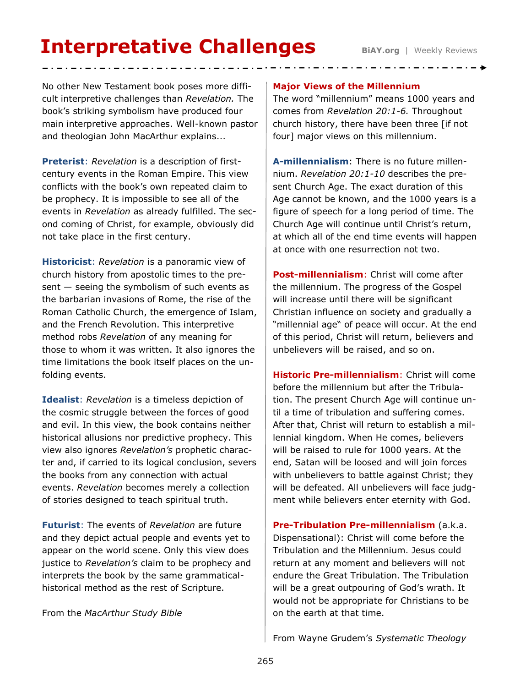# **Interpretative Challenges BiAY.org** | Weekly Reviews

No other New Testament book poses more difficult interpretive challenges than *Revelation.* The book's striking symbolism have produced four main interpretive approaches. Well-known pastor and theologian John MacArthur explains...

**Preterist**: *Revelation* is a description of firstcentury events in the Roman Empire. This view conflicts with the book's own repeated claim to be prophecy. It is impossible to see all of the events in *Revelation* as already fulfilled. The second coming of Christ, for example, obviously did not take place in the first century.

**Historicist**: *Revelation* is a panoramic view of church history from apostolic times to the pre $sent$  – seeing the symbolism of such events as the barbarian invasions of Rome, the rise of the Roman Catholic Church, the emergence of Islam, and the French Revolution. This interpretive method robs *Revelation* of any meaning for those to whom it was written. It also ignores the time limitations the book itself places on the unfolding events.

**Idealist**: *Revelation* is a timeless depiction of the cosmic struggle between the forces of good and evil. In this view, the book contains neither historical allusions nor predictive prophecy. This view also ignores *Revelation's* prophetic character and, if carried to its logical conclusion, severs the books from any connection with actual events. *Revelation* becomes merely a collection of stories designed to teach spiritual truth.

**Futurist**: The events of *Revelation* are future and they depict actual people and events yet to appear on the world scene. Only this view does justice to *Revelation's* claim to be prophecy and interprets the book by the same grammaticalhistorical method as the rest of Scripture.

From the *MacArthur Study Bible*

#### **Major Views of the Millennium**

The word "millennium" means 1000 years and comes from *Revelation 20:1-6.* Throughout church history, there have been three [if not four] major views on this millennium.

**A-millennialism**: There is no future millennium. *Revelation 20:1-10* describes the present Church Age. The exact duration of this Age cannot be known, and the 1000 years is a figure of speech for a long period of time. The Church Age will continue until Christ's return, at which all of the end time events will happen at once with one resurrection not two.

**Post-millennialism**: Christ will come after the millennium. The progress of the Gospel will increase until there will be significant Christian influence on society and gradually a "millennial age" of peace will occur. At the end of this period, Christ will return, believers and unbelievers will be raised, and so on.

**Historic Pre-millennialism**: Christ will come before the millennium but after the Tribulation. The present Church Age will continue until a time of tribulation and suffering comes. After that, Christ will return to establish a millennial kingdom. When He comes, believers will be raised to rule for 1000 years. At the end, Satan will be loosed and will join forces with unbelievers to battle against Christ; they will be defeated. All unbelievers will face judgment while believers enter eternity with God.

**Pre-Tribulation Pre-millennialism** (a.k.a. Dispensational): Christ will come before the Tribulation and the Millennium. Jesus could return at any moment and believers will not endure the Great Tribulation. The Tribulation will be a great outpouring of God's wrath. It would not be appropriate for Christians to be on the earth at that time.

From Wayne Grudem's *Systematic Theology*